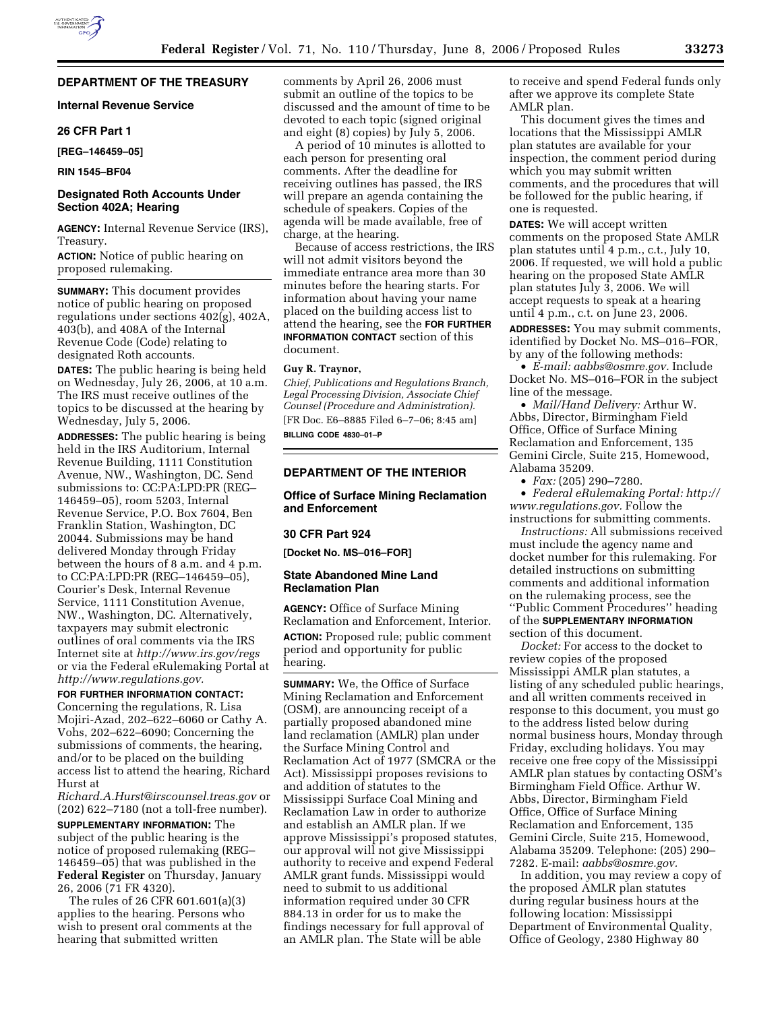# **DEPARTMENT OF THE TREASURY**

**Internal Revenue Service** 

#### **26 CFR Part 1**

**[REG–146459–05]** 

**RIN 1545–BF04** 

# **Designated Roth Accounts Under Section 402A; Hearing**

**AGENCY:** Internal Revenue Service (IRS), Treasury.

**ACTION:** Notice of public hearing on proposed rulemaking.

**SUMMARY:** This document provides notice of public hearing on proposed regulations under sections 402(g), 402A, 403(b), and 408A of the Internal Revenue Code (Code) relating to designated Roth accounts.

**DATES:** The public hearing is being held on Wednesday, July 26, 2006, at 10 a.m. The IRS must receive outlines of the topics to be discussed at the hearing by Wednesday, July 5, 2006.

**ADDRESSES:** The public hearing is being held in the IRS Auditorium, Internal Revenue Building, 1111 Constitution Avenue, NW., Washington, DC. Send submissions to: CC:PA:LPD:PR (REG– 146459–05), room 5203, Internal Revenue Service, P.O. Box 7604, Ben Franklin Station, Washington, DC 20044. Submissions may be hand delivered Monday through Friday between the hours of 8 a.m. and 4 p.m. to CC:PA:LPD:PR (REG–146459–05), Courier's Desk, Internal Revenue Service, 1111 Constitution Avenue, NW., Washington, DC. Alternatively, taxpayers may submit electronic outlines of oral comments via the IRS Internet site at *http://www.irs.gov/regs*  or via the Federal eRulemaking Portal at *http://www.regulations.gov.* 

**FOR FURTHER INFORMATION CONTACT:**  Concerning the regulations, R. Lisa Mojiri-Azad, 202–622–6060 or Cathy A. Vohs, 202–622–6090; Concerning the submissions of comments, the hearing, and/or to be placed on the building access list to attend the hearing, Richard Hurst at

*Richard.A.Hurst@irscounsel.treas.gov* or (202) 622–7180 (not a toll-free number).

**SUPPLEMENTARY INFORMATION:** The subject of the public hearing is the notice of proposed rulemaking (REG– 146459–05) that was published in the **Federal Register** on Thursday, January 26, 2006 (71 FR 4320).

The rules of 26 CFR 601.601(a)(3) applies to the hearing. Persons who wish to present oral comments at the hearing that submitted written

comments by April 26, 2006 must submit an outline of the topics to be discussed and the amount of time to be devoted to each topic (signed original and eight (8) copies) by July 5, 2006.

A period of 10 minutes is allotted to each person for presenting oral comments. After the deadline for receiving outlines has passed, the IRS will prepare an agenda containing the schedule of speakers. Copies of the agenda will be made available, free of charge, at the hearing.

Because of access restrictions, the IRS will not admit visitors beyond the immediate entrance area more than 30 minutes before the hearing starts. For information about having your name placed on the building access list to attend the hearing, see the **FOR FURTHER INFORMATION CONTACT** section of this document.

#### **Guy R. Traynor,**

*Chief, Publications and Regulations Branch, Legal Processing Division, Associate Chief Counsel (Procedure and Administration).*  [FR Doc. E6–8885 Filed 6–7–06; 8:45 am] **BILLING CODE 4830–01–P** 

### **DEPARTMENT OF THE INTERIOR**

## **Office of Surface Mining Reclamation and Enforcement**

#### **30 CFR Part 924**

**[Docket No. MS–016–FOR]** 

### **State Abandoned Mine Land Reclamation Plan**

**AGENCY:** Office of Surface Mining Reclamation and Enforcement, Interior. **ACTION:** Proposed rule; public comment period and opportunity for public hearing.

**SUMMARY:** We, the Office of Surface Mining Reclamation and Enforcement (OSM), are announcing receipt of a partially proposed abandoned mine land reclamation (AMLR) plan under the Surface Mining Control and Reclamation Act of 1977 (SMCRA or the Act). Mississippi proposes revisions to and addition of statutes to the Mississippi Surface Coal Mining and Reclamation Law in order to authorize and establish an AMLR plan. If we approve Mississippi's proposed statutes, our approval will not give Mississippi authority to receive and expend Federal AMLR grant funds. Mississippi would need to submit to us additional information required under 30 CFR 884.13 in order for us to make the findings necessary for full approval of an AMLR plan. The State will be able

to receive and spend Federal funds only after we approve its complete State AMLR plan.

This document gives the times and locations that the Mississippi AMLR plan statutes are available for your inspection, the comment period during which you may submit written comments, and the procedures that will be followed for the public hearing, if one is requested.

**DATES:** We will accept written comments on the proposed State AMLR plan statutes until 4 p.m., c.t., July 10, 2006. If requested, we will hold a public hearing on the proposed State AMLR plan statutes July 3, 2006. We will accept requests to speak at a hearing until 4 p.m., c.t. on June 23, 2006.

**ADDRESSES:** You may submit comments, identified by Docket No. MS–016–FOR, by any of the following methods:

• *E-mail: aabbs@osmre.gov.* Include Docket No. MS–016–FOR in the subject line of the message.

• *Mail/Hand Delivery:* Arthur W. Abbs, Director, Birmingham Field Office, Office of Surface Mining Reclamation and Enforcement, 135 Gemini Circle, Suite 215, Homewood, Alabama 35209.

• *Fax:* (205) 290–7280.

• *Federal eRulemaking Portal: http:// www.regulations.gov.* Follow the instructions for submitting comments.

*Instructions:* All submissions received must include the agency name and docket number for this rulemaking. For detailed instructions on submitting comments and additional information on the rulemaking process, see the ''Public Comment Procedures'' heading of the **SUPPLEMENTARY INFORMATION** section of this document.

*Docket:* For access to the docket to review copies of the proposed Mississippi AMLR plan statutes, a listing of any scheduled public hearings, and all written comments received in response to this document, you must go to the address listed below during normal business hours, Monday through Friday, excluding holidays. You may receive one free copy of the Mississippi AMLR plan statues by contacting OSM's Birmingham Field Office. Arthur W. Abbs, Director, Birmingham Field Office, Office of Surface Mining Reclamation and Enforcement, 135 Gemini Circle, Suite 215, Homewood, Alabama 35209. Telephone: (205) 290– 7282. E-mail: *aabbs@osmre.gov.* 

In addition, you may review a copy of the proposed AMLR plan statutes during regular business hours at the following location: Mississippi Department of Environmental Quality, Office of Geology, 2380 Highway 80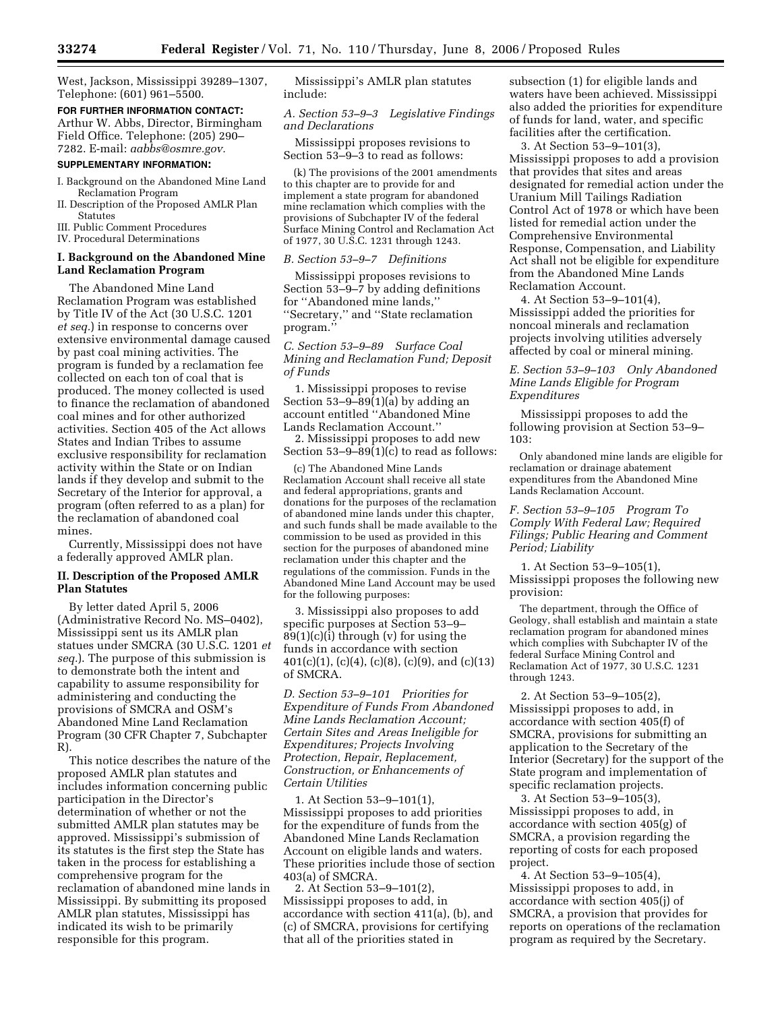West, Jackson, Mississippi 39289–1307, Telephone: (601) 961–5500.

#### **FOR FURTHER INFORMATION CONTACT:**

Arthur W. Abbs, Director, Birmingham Field Office. Telephone: (205) 290– 7282. E-mail: *aabbs@osmre.gov.* 

#### **SUPPLEMENTARY INFORMATION:**

- I. Background on the Abandoned Mine Land Reclamation Program
- II. Description of the Proposed AMLR Plan **Statutes**
- III. Public Comment Procedures
- IV. Procedural Determinations

# **I. Background on the Abandoned Mine Land Reclamation Program**

The Abandoned Mine Land Reclamation Program was established by Title IV of the Act (30 U.S.C. 1201 *et seq.*) in response to concerns over extensive environmental damage caused by past coal mining activities. The program is funded by a reclamation fee collected on each ton of coal that is produced. The money collected is used to finance the reclamation of abandoned coal mines and for other authorized activities. Section 405 of the Act allows States and Indian Tribes to assume exclusive responsibility for reclamation activity within the State or on Indian lands if they develop and submit to the Secretary of the Interior for approval, a program (often referred to as a plan) for the reclamation of abandoned coal mines.

Currently, Mississippi does not have a federally approved AMLR plan.

# **II. Description of the Proposed AMLR Plan Statutes**

By letter dated April 5, 2006 (Administrative Record No. MS–0402), Mississippi sent us its AMLR plan statues under SMCRA (30 U.S.C. 1201 *et seq.*). The purpose of this submission is to demonstrate both the intent and capability to assume responsibility for administering and conducting the provisions of SMCRA and OSM's Abandoned Mine Land Reclamation Program (30 CFR Chapter 7, Subchapter R).

This notice describes the nature of the proposed AMLR plan statutes and includes information concerning public participation in the Director's determination of whether or not the submitted AMLR plan statutes may be approved. Mississippi's submission of its statutes is the first step the State has taken in the process for establishing a comprehensive program for the reclamation of abandoned mine lands in Mississippi. By submitting its proposed AMLR plan statutes, Mississippi has indicated its wish to be primarily responsible for this program.

Mississippi's AMLR plan statutes include:

*A. Section 53–9–3 Legislative Findings and Declarations* 

Mississippi proposes revisions to Section 53–9–3 to read as follows:

(k) The provisions of the 2001 amendments to this chapter are to provide for and implement a state program for abandoned mine reclamation which complies with the provisions of Subchapter IV of the federal Surface Mining Control and Reclamation Act of 1977, 30 U.S.C. 1231 through 1243.

### *B. Section 53–9–7 Definitions*

Mississippi proposes revisions to Section 53–9–7 by adding definitions for ''Abandoned mine lands,'' ''Secretary,'' and ''State reclamation program.''

*C. Section 53–9–89 Surface Coal Mining and Reclamation Fund; Deposit of Funds* 

1. Mississippi proposes to revise Section 53–9–89(1)(a) by adding an account entitled ''Abandoned Mine Lands Reclamation Account.''

2. Mississippi proposes to add new Section 53–9–89(1)(c) to read as follows:

(c) The Abandoned Mine Lands Reclamation Account shall receive all state and federal appropriations, grants and donations for the purposes of the reclamation of abandoned mine lands under this chapter, and such funds shall be made available to the commission to be used as provided in this section for the purposes of abandoned mine reclamation under this chapter and the regulations of the commission. Funds in the Abandoned Mine Land Account may be used for the following purposes:

3. Mississippi also proposes to add specific purposes at Section 53–9–  $89(1)(c)(i)$  through (v) for using the funds in accordance with section  $401(c)(1)$ , (c)(4), (c)(8), (c)(9), and (c)(13) of SMCRA.

*D. Section 53–9–101 Priorities for Expenditure of Funds From Abandoned Mine Lands Reclamation Account; Certain Sites and Areas Ineligible for Expenditures; Projects Involving Protection, Repair, Replacement, Construction, or Enhancements of Certain Utilities* 

1. At Section 53–9–101(1), Mississippi proposes to add priorities for the expenditure of funds from the Abandoned Mine Lands Reclamation Account on eligible lands and waters. These priorities include those of section 403(a) of SMCRA.

2. At Section 53–9–101(2), Mississippi proposes to add, in accordance with section 411(a), (b), and (c) of SMCRA, provisions for certifying that all of the priorities stated in

subsection (1) for eligible lands and waters have been achieved. Mississippi also added the priorities for expenditure of funds for land, water, and specific facilities after the certification.

3. At Section 53–9–101(3), Mississippi proposes to add a provision that provides that sites and areas designated for remedial action under the Uranium Mill Tailings Radiation Control Act of 1978 or which have been listed for remedial action under the Comprehensive Environmental Response, Compensation, and Liability Act shall not be eligible for expenditure from the Abandoned Mine Lands Reclamation Account.

4. At Section 53–9–101(4), Mississippi added the priorities for noncoal minerals and reclamation projects involving utilities adversely affected by coal or mineral mining.

*E. Section 53–9–103 Only Abandoned Mine Lands Eligible for Program Expenditures* 

Mississippi proposes to add the following provision at Section 53–9– 103:

Only abandoned mine lands are eligible for reclamation or drainage abatement expenditures from the Abandoned Mine Lands Reclamation Account.

*F. Section 53–9–105 Program To Comply With Federal Law; Required Filings; Public Hearing and Comment Period; Liability* 

1. At Section 53–9–105(1), Mississippi proposes the following new provision:

The department, through the Office of Geology, shall establish and maintain a state reclamation program for abandoned mines which complies with Subchapter IV of the federal Surface Mining Control and Reclamation Act of 1977, 30 U.S.C. 1231 through 1243.

2. At Section 53–9–105(2), Mississippi proposes to add, in accordance with section 405(f) of SMCRA, provisions for submitting an application to the Secretary of the Interior (Secretary) for the support of the State program and implementation of specific reclamation projects.

3. At Section 53–9–105(3), Mississippi proposes to add, in accordance with section 405(g) of SMCRA, a provision regarding the reporting of costs for each proposed project.

4. At Section 53–9–105(4), Mississippi proposes to add, in accordance with section 405(j) of SMCRA, a provision that provides for reports on operations of the reclamation program as required by the Secretary.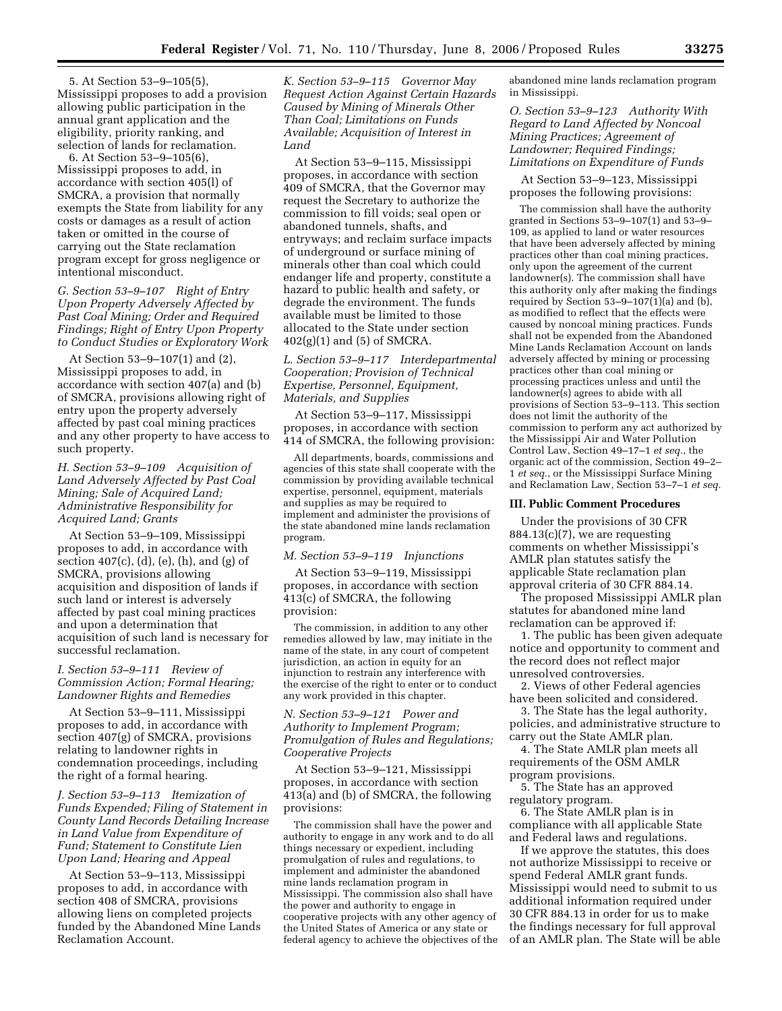5. At Section 53–9–105(5), Mississippi proposes to add a provision allowing public participation in the annual grant application and the eligibility, priority ranking, and selection of lands for reclamation.

6. At Section 53–9–105(6), Mississippi proposes to add, in accordance with section 405(l) of SMCRA, a provision that normally exempts the State from liability for any costs or damages as a result of action taken or omitted in the course of carrying out the State reclamation program except for gross negligence or intentional misconduct.

*G. Section 53–9–107 Right of Entry Upon Property Adversely Affected by Past Coal Mining; Order and Required Findings; Right of Entry Upon Property to Conduct Studies or Exploratory Work* 

At Section 53–9–107(1) and (2), Mississippi proposes to add, in accordance with section 407(a) and (b) of SMCRA, provisions allowing right of entry upon the property adversely affected by past coal mining practices and any other property to have access to such property.

# *H. Section 53–9–109 Acquisition of Land Adversely Affected by Past Coal Mining; Sale of Acquired Land; Administrative Responsibility for Acquired Land; Grants*

At Section 53–9–109, Mississippi proposes to add, in accordance with section 407(c), (d), (e), (h), and (g) of SMCRA, provisions allowing acquisition and disposition of lands if such land or interest is adversely affected by past coal mining practices and upon a determination that acquisition of such land is necessary for successful reclamation.

## *I. Section 53–9–111 Review of Commission Action; Formal Hearing; Landowner Rights and Remedies*

At Section 53–9–111, Mississippi proposes to add, in accordance with section 407(g) of SMCRA, provisions relating to landowner rights in condemnation proceedings, including the right of a formal hearing.

*J. Section 53–9–113 Itemization of Funds Expended; Filing of Statement in County Land Records Detailing Increase in Land Value from Expenditure of Fund; Statement to Constitute Lien Upon Land; Hearing and Appeal* 

At Section 53–9–113, Mississippi proposes to add, in accordance with section 408 of SMCRA, provisions allowing liens on completed projects funded by the Abandoned Mine Lands Reclamation Account.

*K. Section 53–9–115 Governor May Request Action Against Certain Hazards Caused by Mining of Minerals Other Than Coal; Limitations on Funds Available; Acquisition of Interest in Land* 

At Section 53–9–115, Mississippi proposes, in accordance with section 409 of SMCRA, that the Governor may request the Secretary to authorize the commission to fill voids; seal open or abandoned tunnels, shafts, and entryways; and reclaim surface impacts of underground or surface mining of minerals other than coal which could endanger life and property, constitute a hazard to public health and safety, or degrade the environment. The funds available must be limited to those allocated to the State under section  $402(g)(1)$  and  $(5)$  of SMCRA.

*L. Section 53–9–117 Interdepartmental Cooperation; Provision of Technical Expertise, Personnel, Equipment, Materials, and Supplies* 

At Section 53–9–117, Mississippi proposes, in accordance with section 414 of SMCRA, the following provision:

All departments, boards, commissions and agencies of this state shall cooperate with the commission by providing available technical expertise, personnel, equipment, materials and supplies as may be required to implement and administer the provisions of the state abandoned mine lands reclamation program.

# *M. Section 53–9–119 Injunctions*

At Section 53–9–119, Mississippi proposes, in accordance with section 413(c) of SMCRA, the following provision:

The commission, in addition to any other remedies allowed by law, may initiate in the name of the state, in any court of competent jurisdiction, an action in equity for an injunction to restrain any interference with the exercise of the right to enter or to conduct any work provided in this chapter.

# *N. Section 53–9–121 Power and Authority to Implement Program; Promulgation of Rules and Regulations; Cooperative Projects*

At Section 53–9–121, Mississippi proposes, in accordance with section 413(a) and (b) of SMCRA, the following provisions:

The commission shall have the power and authority to engage in any work and to do all things necessary or expedient, including promulgation of rules and regulations, to implement and administer the abandoned mine lands reclamation program in Mississippi. The commission also shall have the power and authority to engage in cooperative projects with any other agency of the United States of America or any state or federal agency to achieve the objectives of the

abandoned mine lands reclamation program in Mississippi.

*O. Section 53–9–123 Authority With Regard to Land Affected by Noncoal Mining Practices; Agreement of Landowner; Required Findings; Limitations on Expenditure of Funds* 

At Section 53–9–123, Mississippi proposes the following provisions:

The commission shall have the authority granted in Sections 53–9–107(1) and 53–9– 109, as applied to land or water resources that have been adversely affected by mining practices other than coal mining practices, only upon the agreement of the current landowner(s). The commission shall have this authority only after making the findings required by Section 53-9-107(1)(a) and (b), as modified to reflect that the effects were caused by noncoal mining practices. Funds shall not be expended from the Abandoned Mine Lands Reclamation Account on lands adversely affected by mining or processing practices other than coal mining or processing practices unless and until the landowner(s) agrees to abide with all provisions of Section 53–9–113. This section does not limit the authority of the commission to perform any act authorized by the Mississippi Air and Water Pollution Control Law, Section 49–17–1 *et seq.*, the organic act of the commission, Section 49–2– 1 *et seq.*, or the Mississippi Surface Mining and Reclamation Law, Section 53–7–1 *et seq.* 

#### **III. Public Comment Procedures**

Under the provisions of 30 CFR  $884.13(c)(7)$ , we are requesting comments on whether Mississippi's AMLR plan statutes satisfy the applicable State reclamation plan approval criteria of 30 CFR 884.14.

The proposed Mississippi AMLR plan statutes for abandoned mine land reclamation can be approved if:

1. The public has been given adequate notice and opportunity to comment and the record does not reflect major unresolved controversies.

2. Views of other Federal agencies have been solicited and considered.

3. The State has the legal authority, policies, and administrative structure to carry out the State AMLR plan.

4. The State AMLR plan meets all requirements of the OSM AMLR program provisions.

5. The State has an approved regulatory program.

6. The State AMLR plan is in compliance with all applicable State and Federal laws and regulations.

If we approve the statutes, this does not authorize Mississippi to receive or spend Federal AMLR grant funds. Mississippi would need to submit to us additional information required under 30 CFR 884.13 in order for us to make the findings necessary for full approval of an AMLR plan. The State will be able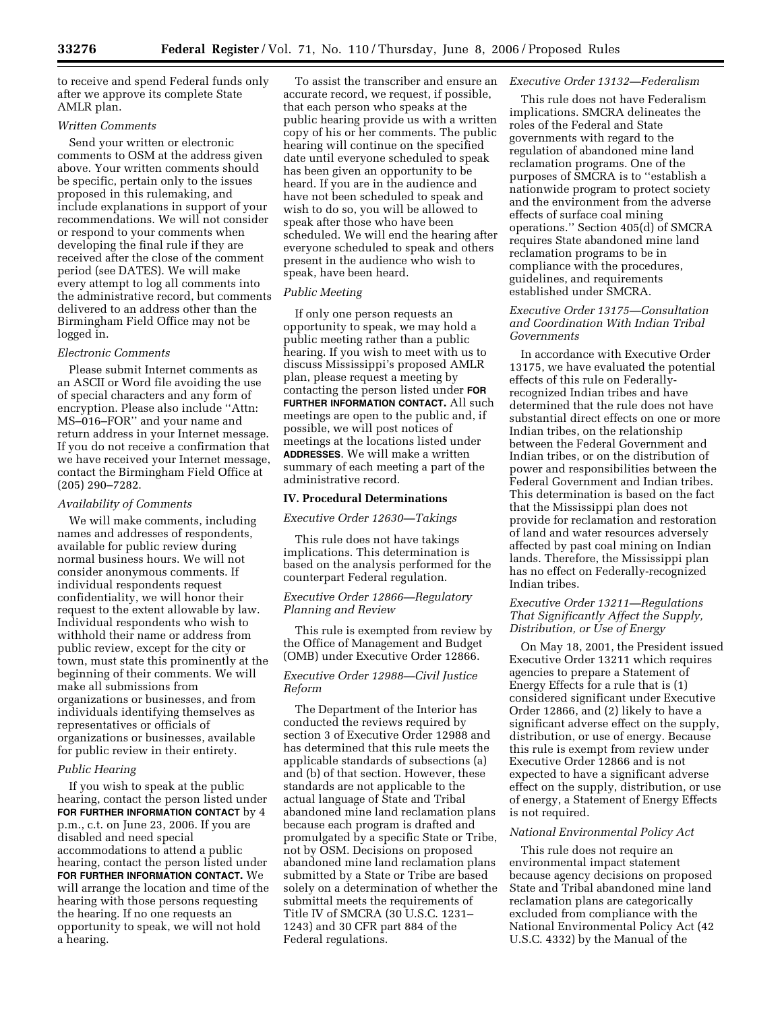to receive and spend Federal funds only after we approve its complete State AMLR plan.

### *Written Comments*

Send your written or electronic comments to OSM at the address given above. Your written comments should be specific, pertain only to the issues proposed in this rulemaking, and include explanations in support of your recommendations. We will not consider or respond to your comments when developing the final rule if they are received after the close of the comment period (see DATES). We will make every attempt to log all comments into the administrative record, but comments delivered to an address other than the Birmingham Field Office may not be logged in.

### *Electronic Comments*

Please submit Internet comments as an ASCII or Word file avoiding the use of special characters and any form of encryption. Please also include ''Attn: MS–016–FOR'' and your name and return address in your Internet message. If you do not receive a confirmation that we have received your Internet message, contact the Birmingham Field Office at (205) 290–7282.

#### *Availability of Comments*

We will make comments, including names and addresses of respondents, available for public review during normal business hours. We will not consider anonymous comments. If individual respondents request confidentiality, we will honor their request to the extent allowable by law. Individual respondents who wish to withhold their name or address from public review, except for the city or town, must state this prominently at the beginning of their comments. We will make all submissions from organizations or businesses, and from individuals identifying themselves as representatives or officials of organizations or businesses, available for public review in their entirety.

#### *Public Hearing*

If you wish to speak at the public hearing, contact the person listed under **FOR FURTHER INFORMATION CONTACT** by 4 p.m., c.t. on June 23, 2006. If you are disabled and need special accommodations to attend a public hearing, contact the person listed under **FOR FURTHER INFORMATION CONTACT.** We will arrange the location and time of the hearing with those persons requesting the hearing. If no one requests an opportunity to speak, we will not hold a hearing.

To assist the transcriber and ensure an accurate record, we request, if possible, that each person who speaks at the public hearing provide us with a written copy of his or her comments. The public hearing will continue on the specified date until everyone scheduled to speak has been given an opportunity to be heard. If you are in the audience and have not been scheduled to speak and wish to do so, you will be allowed to speak after those who have been scheduled. We will end the hearing after everyone scheduled to speak and others present in the audience who wish to speak, have been heard.

## *Public Meeting*

If only one person requests an opportunity to speak, we may hold a public meeting rather than a public hearing. If you wish to meet with us to discuss Mississippi's proposed AMLR plan, please request a meeting by contacting the person listed under **FOR FURTHER INFORMATION CONTACT.** All such meetings are open to the public and, if possible, we will post notices of meetings at the locations listed under **ADDRESSES**. We will make a written summary of each meeting a part of the administrative record.

### **IV. Procedural Determinations**

#### *Executive Order 12630—Takings*

This rule does not have takings implications. This determination is based on the analysis performed for the counterpart Federal regulation.

# *Executive Order 12866—Regulatory Planning and Review*

This rule is exempted from review by the Office of Management and Budget (OMB) under Executive Order 12866.

### *Executive Order 12988—Civil Justice Reform*

The Department of the Interior has conducted the reviews required by section 3 of Executive Order 12988 and has determined that this rule meets the applicable standards of subsections (a) and (b) of that section. However, these standards are not applicable to the actual language of State and Tribal abandoned mine land reclamation plans because each program is drafted and promulgated by a specific State or Tribe, not by OSM. Decisions on proposed abandoned mine land reclamation plans submitted by a State or Tribe are based solely on a determination of whether the submittal meets the requirements of Title IV of SMCRA (30 U.S.C. 1231– 1243) and 30 CFR part 884 of the Federal regulations.

### *Executive Order 13132—Federalism*

This rule does not have Federalism implications. SMCRA delineates the roles of the Federal and State governments with regard to the regulation of abandoned mine land reclamation programs. One of the purposes of SMCRA is to ''establish a nationwide program to protect society and the environment from the adverse effects of surface coal mining operations.'' Section 405(d) of SMCRA requires State abandoned mine land reclamation programs to be in compliance with the procedures, guidelines, and requirements established under SMCRA.

# *Executive Order 13175—Consultation and Coordination With Indian Tribal Governments*

In accordance with Executive Order 13175, we have evaluated the potential effects of this rule on Federallyrecognized Indian tribes and have determined that the rule does not have substantial direct effects on one or more Indian tribes, on the relationship between the Federal Government and Indian tribes, or on the distribution of power and responsibilities between the Federal Government and Indian tribes. This determination is based on the fact that the Mississippi plan does not provide for reclamation and restoration of land and water resources adversely affected by past coal mining on Indian lands. Therefore, the Mississippi plan has no effect on Federally-recognized Indian tribes.

# *Executive Order 13211—Regulations That Significantly Affect the Supply, Distribution, or Use of Energy*

On May 18, 2001, the President issued Executive Order 13211 which requires agencies to prepare a Statement of Energy Effects for a rule that is (1) considered significant under Executive Order 12866, and (2) likely to have a significant adverse effect on the supply, distribution, or use of energy. Because this rule is exempt from review under Executive Order 12866 and is not expected to have a significant adverse effect on the supply, distribution, or use of energy, a Statement of Energy Effects is not required.

#### *National Environmental Policy Act*

This rule does not require an environmental impact statement because agency decisions on proposed State and Tribal abandoned mine land reclamation plans are categorically excluded from compliance with the National Environmental Policy Act (42 U.S.C. 4332) by the Manual of the